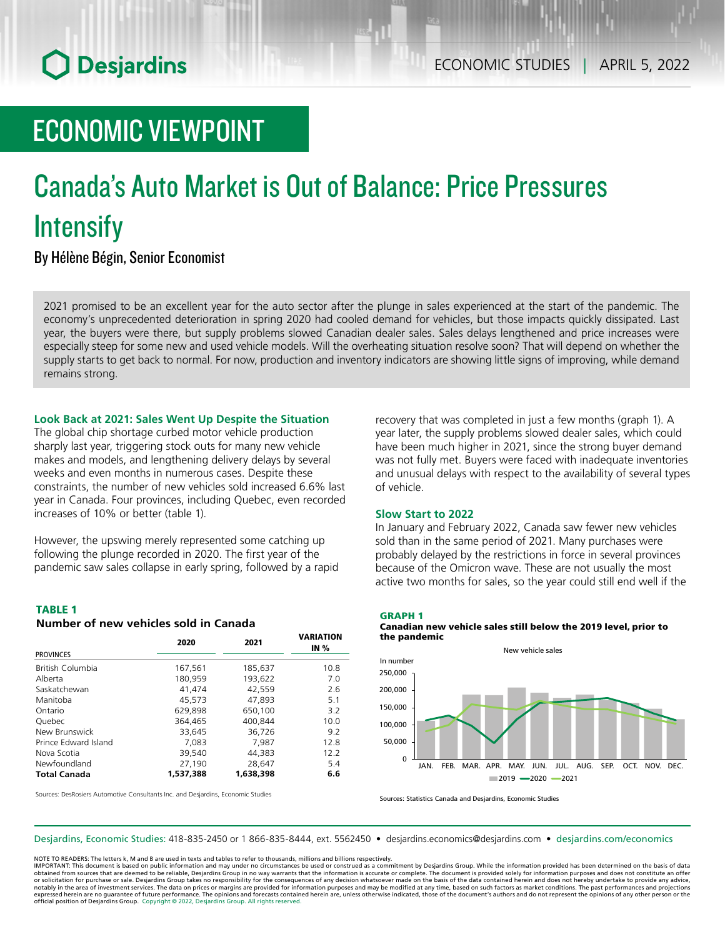## **O** Desjardins

## ECONOMIC VIEWPOINT

# Canada's Auto Market is Out of Balance: Price Pressures **Intensify**

By Hélène Bégin, Senior Economist

2021 promised to be an excellent year for the auto sector after the plunge in sales experienced at the start of the pandemic. The economy's unprecedented deterioration in spring 2020 had cooled demand for vehicles, but those impacts quickly dissipated. Last year, the buyers were there, but supply problems slowed Canadian dealer sales. Sales delays lengthened and price increases were especially steep for some new and used vehicle models. Will the overheating situation resolve soon? That will depend on whether the supply starts to get back to normal. For now, production and inventory indicators are showing little signs of improving, while demand remains strong.

## **Look Back at 2021: Sales Went Up Despite the Situation**

The global chip shortage curbed motor vehicle production sharply last year, triggering stock outs for many new vehicle makes and models, and lengthening delivery delays by several weeks and even months in numerous cases. Despite these constraints, the number of new vehicles sold increased 6.6% last year in Canada. Four provinces, including Quebec, even recorded increases of 10% or better (table 1).

However, the upswing merely represented some catching up following the plunge recorded in 2020. The first year of the pandemic saw sales collapse in early spring, followed by a rapid

### TABLE 1

### *Number of new vehicles sold in Canada*

|                      | 2020      | 2021      | <b>VARIATION</b><br><b>IN %</b> |
|----------------------|-----------|-----------|---------------------------------|
| <b>PROVINCES</b>     |           |           |                                 |
| British Columbia     | 167,561   | 185,637   | 10.8                            |
| Alberta              | 180,959   | 193,622   | 7.0                             |
| Saskatchewan         | 41.474    | 42.559    | 2.6                             |
| Manitoba             | 45.573    | 47.893    | 5.1                             |
| Ontario              | 629,898   | 650,100   | 3.2                             |
| <b>Ouebec</b>        | 364,465   | 400.844   | 10.0                            |
| New Brunswick        | 33.645    | 36,726    | 9.2                             |
| Prince Edward Island | 7.083     | 7.987     | 12.8                            |
| Nova Scotia          | 39,540    | 44.383    | 12.2                            |
| Newfoundland         | 27,190    | 28.647    | 5.4                             |
| <b>Total Canada</b>  | 1,537,388 | 1,638,398 | 6.6                             |

recovery that was completed in just a few months (graph 1). A year later, the supply problems slowed dealer sales, which could have been much higher in 2021, since the strong buyer demand was not fully met. Buyers were faced with inadequate inventories and unusual delays with respect to the availability of several types of vehicle.

## **Slow Start to 2022**

In January and February 2022, Canada saw fewer new vehicles sold than in the same period of 2021. Many purchases were probably delayed by the restrictions in force in several provinces because of the Omicron wave. These are not usually the most active two months for sales, so the year could still end well if the

### GRAPH 1

Canadian new vehicle sales still below the 2019 level, prior to the pandemic



Sources: DesRosiers Automotive Consultants Inc. and Desjardins, Economic Studies

Sources: Statistics Canada and Desjardins, Economic Studies

### Desjardins, Economic Studies: 418-835-2450 or 1 866-835-8444, ext. 5562450 • desjardins.economics@desjardins.com • [desjardins.com/economics](http://desjardins.com/economics)

NOTE TO READERS: The letters k, M and B are used in texts and tables to refer to thousands, millions and billions respectively.

IMPORTANT: This document is based on public information and may under no circumstances be used or construed as a commitment by Desjardins Group. While the information provided has been determined on the basis of data obtained from sources that are deemed to be reliable, Desjardins Group in no way warrants that the information is accurate or complete. The document is provided solely for information purposes and does not constitute an of notably in the area of investment services. The data on prices or margins are provided for information purposes and may be modified at any time, based on such factors as market conditions. The past performances and project expressed herein are no guarantee of future performance. The opinions and forecasts contained herein are, unless otherwise indicated, those of the document's authors and do not represent the opinions of any other person or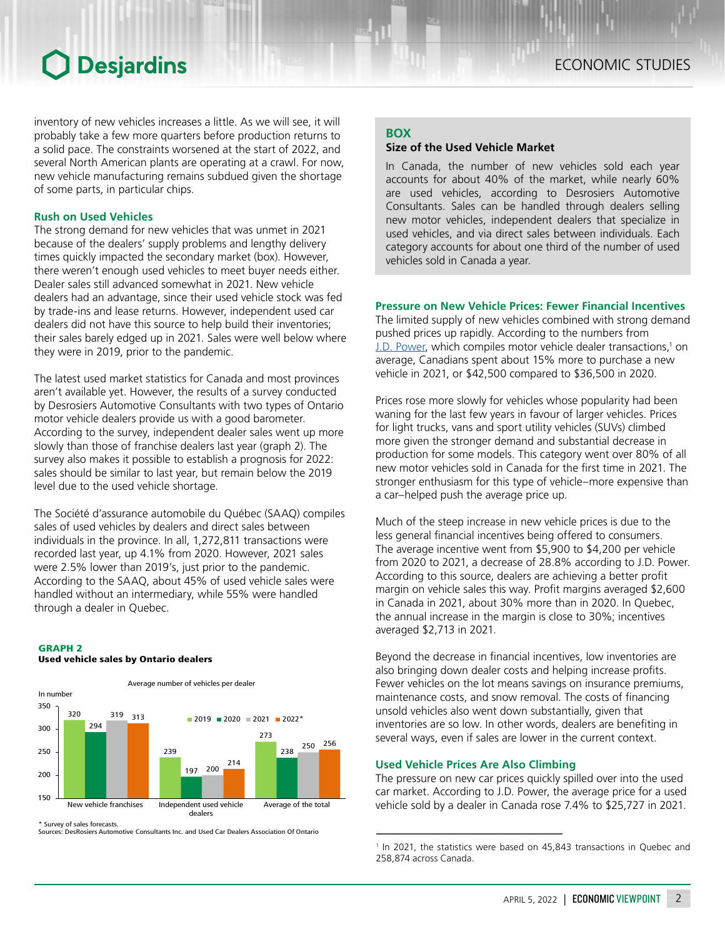## **O** Desjardins

inventory of new vehicles increases a little. As we will see, it will probably take a few more quarters before production returns to a solid pace. The constraints worsened at the start of 2022, and several North American plants are operating at a crawl. For now, new vehicle manufacturing remains subdued given the shortage of some parts, in particular chips.

## **Rush on Used Vehicles**

The strong demand for new vehicles that was unmet in 2021 because of the dealers' supply problems and lengthy delivery times quickly impacted the secondary market (box). However, there weren't enough used vehicles to meet buyer needs either. Dealer sales still advanced somewhat in 2021. New vehicle dealers had an advantage, since their used vehicle stock was fed by trade-ins and lease returns. However, independent used car dealers did not have this source to help build their inventories; their sales barely edged up in 2021. Sales were well below where they were in 2019, prior to the pandemic.

The latest used market statistics for Canada and most provinces aren't available yet. However, the results of a survey conducted by Desrosiers Automotive Consultants with two types of Ontario motor vehicle dealers provide us with a good barometer. According to the survey, independent dealer sales went up more slowly than those of franchise dealers last year (graph 2). The survey also makes it possible to establish a prognosis for 2022: sales should be similar to last year, but remain below the 2019 level due to the used vehicle shortage.

The Société d'assurance automobile du Québec (SAAQ) compiles sales of used vehicles by dealers and direct sales between individuals in the province. In all, 1,272,811 transactions were recorded last year, up 4.1% from 2020. However, 2021 sales were 2.5% lower than 2019's, just prior to the pandemic. According to the SAAQ, about 45% of used vehicle sales were handled without an intermediary, while 55% were handled through a dealer in Quebec.

## GRAPH 2

## Used vehicle sales by Ontario dealers



\* Survey of sales forecasts.

Sources: DesRosiers Automotive Consultants Inc. and Used Car Dealers Association Of Ontario

## **BOX**

## **Size of the Used Vehicle Market**

In Canada, the number of new vehicles sold each year accounts for about 40% of the market, while nearly 60% are used vehicles, according to Desrosiers Automotive Consultants. Sales can be handled through dealers selling new motor vehicles, independent dealers that specialize in used vehicles, and via direct sales between individuals. Each category accounts for about one third of the number of used vehicles sold in Canada a year.

## **Pressure on New Vehicle Prices: Fewer Financial Incentives**

The limited supply of new vehicles combined with strong demand pushed prices up rapidly. According to the numbers from J.D. [Power](https://www.automedia.ca/wp-content/uploads/2022/02/AutoMedia-FevMars2022_LR.pdf), which compiles motor vehicle dealer transactions,<sup>1</sup> on average, Canadians spent about 15% more to purchase a new vehicle in 2021, or \$42,500 compared to \$36,500 in 2020.

Prices rose more slowly for vehicles whose popularity had been waning for the last few years in favour of larger vehicles. Prices for light trucks, vans and sport utility vehicles (SUVs) climbed more given the stronger demand and substantial decrease in production for some models. This category went over 80% of all new motor vehicles sold in Canada for the first time in 2021. The stronger enthusiasm for this type of vehicle–more expensive than a car–helped push the average price up.

Much of the steep increase in new vehicle prices is due to the less general financial incentives being offered to consumers. The average incentive went from \$5,900 to \$4,200 per vehicle from 2020 to 2021, a decrease of 28.8% according to J.D. Power. According to this source, dealers are achieving a better profit margin on vehicle sales this way. Profit margins averaged \$2,600 in Canada in 2021, about 30% more than in 2020. In Quebec, the annual increase in the margin is close to 30%; incentives averaged \$2,713 in 2021.

Beyond the decrease in financial incentives, low inventories are also bringing down dealer costs and helping increase profits. Fewer vehicles on the lot means savings on insurance premiums, maintenance costs, and snow removal. The costs of financing unsold vehicles also went down substantially, given that inventories are so low. In other words, dealers are benefiting in several ways, even if sales are lower in the current context.

## **Used Vehicle Prices Are Also Climbing**

The pressure on new car prices quickly spilled over into the used car market. According to J.D. Power, the average price for a used vehicle sold by a dealer in Canada rose 7.4% to \$25,727 in 2021.

<sup>&</sup>lt;sup>1</sup> In 2021, the statistics were based on 45,843 transactions in Quebec and 258,874 across Canada.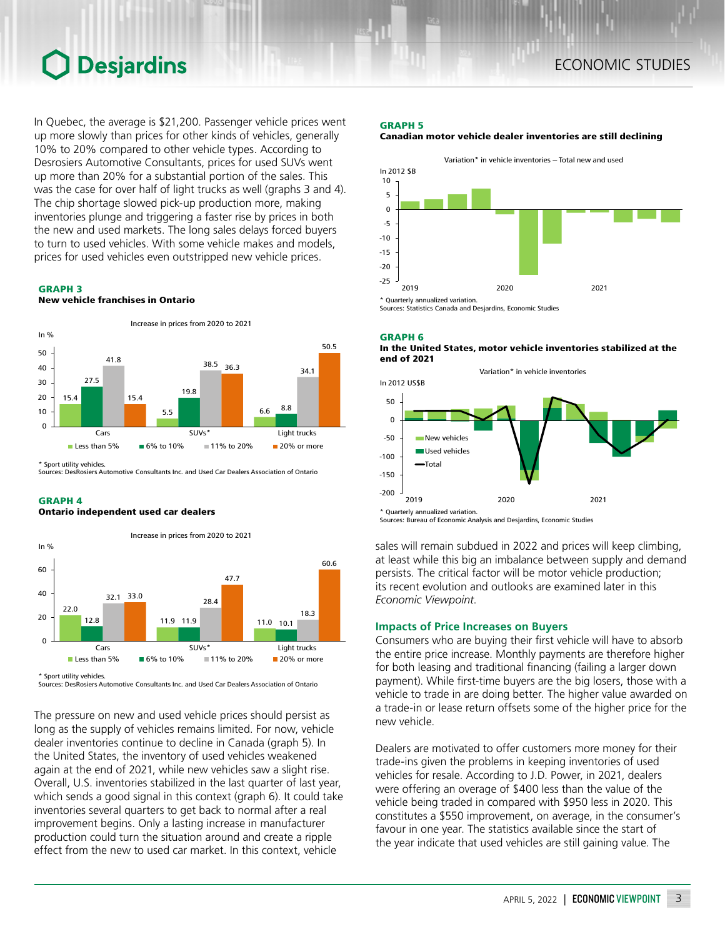## Desjardins

In Quebec, the average is \$21,200. Passenger vehicle prices went up more slowly than prices for other kinds of vehicles, generally 10% to 20% compared to other vehicle types. According to Desrosiers Automotive Consultants, prices for used SUVs went up more than 20% for a substantial portion of the sales. This was the case for over half of light trucks as well (graphs 3 and 4). The chip shortage slowed pick-up production more, making inventories plunge and triggering a faster rise by prices in both the new and used markets. The long sales delays forced buyers to turn to used vehicles. With some vehicle makes and models, prices for used vehicles even outstripped new vehicle prices.

#### GRAPH 3

New vehicle franchises in Ontario



\* Sport utility vehicles.

Sources: DesRosiers Automotive Consultants Inc. and Used Car Dealers Association of Ontario

#### GRAPH 4

#### Ontario independent used car dealers



<sup>\*</sup> Sport utility vehicles.

Sources: DesRosiers Automotive Consultants Inc. and Used Car Dealers Association of Ontario

The pressure on new and used vehicle prices should persist as long as the supply of vehicles remains limited. For now, vehicle dealer inventories continue to decline in Canada (graph 5). In the United States, the inventory of used vehicles weakened again at the end of 2021, while new vehicles saw a slight rise. Overall, U.S. inventories stabilized in the last quarter of last year, which sends a good signal in this context (graph 6). It could take inventories several quarters to get back to normal after a real improvement begins. Only a lasting increase in manufacturer production could turn the situation around and create a ripple effect from the new to used car market. In this context, vehicle

#### GRAPH 5

#### Canadian motor vehicle dealer inventories are still declining



Sources: Statistics Canada and Desjardins, Economic Studies





Sources: Bureau of Economic Analysis and Desjardins, Economic Studies

sales will remain subdued in 2022 and prices will keep climbing, at least while this big an imbalance between supply and demand persists. The critical factor will be motor vehicle production; its recent evolution and outlooks are examined later in this *Economic Viewpoint*.

### **Impacts of Price Increases on Buyers**

Consumers who are buying their first vehicle will have to absorb the entire price increase. Monthly payments are therefore higher for both leasing and traditional financing (failing a larger down payment). While first-time buyers are the big losers, those with a vehicle to trade in are doing better. The higher value awarded on a trade-in or lease return offsets some of the higher price for the new vehicle.

Dealers are motivated to offer customers more money for their trade-ins given the problems in keeping inventories of used vehicles for resale. According to J.D. Power, in 2021, dealers were offering an overage of \$400 less than the value of the vehicle being traded in compared with \$950 less in 2020. This constitutes a \$550 improvement, on average, in the consumer's favour in one year. The statistics available since the start of the year indicate that used vehicles are still gaining value. The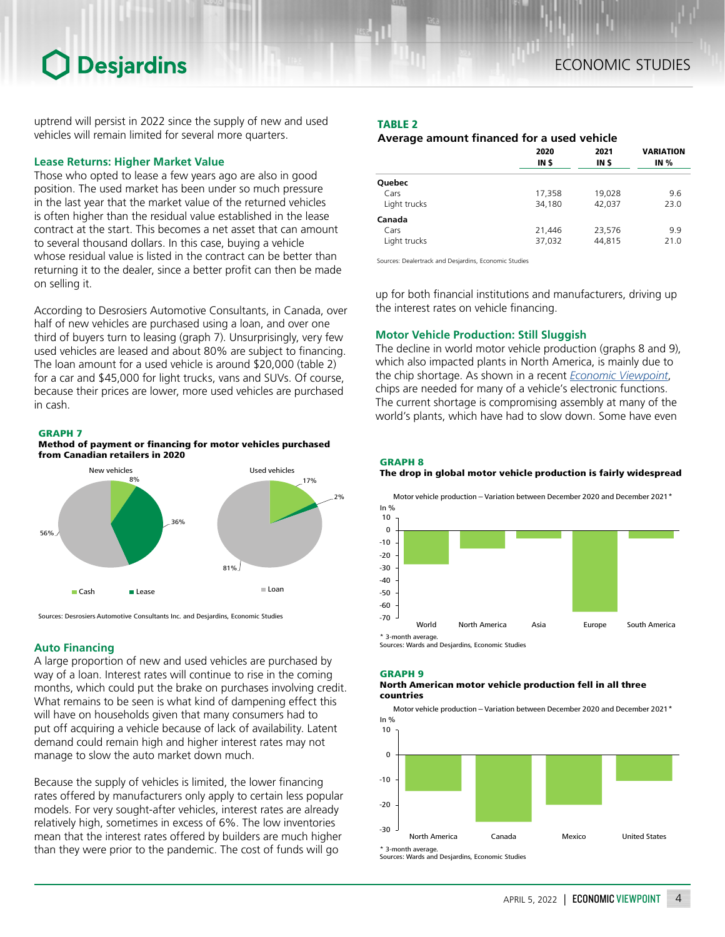## **Desjardins**

uptrend will persist in 2022 since the supply of new and used vehicles will remain limited for several more quarters.

## **Lease Returns: Higher Market Value**

Those who opted to lease a few years ago are also in good position. The used market has been under so much pressure in the last year that the market value of the returned vehicles is often higher than the residual value established in the lease contract at the start. This becomes a net asset that can amount to several thousand dollars. In this case, buying a vehicle whose residual value is listed in the contract can be better than returning it to the dealer, since a better profit can then be made on selling it.

According to Desrosiers Automotive Consultants, in Canada, over half of new vehicles are purchased using a loan, and over one third of buyers turn to leasing (graph 7). Unsurprisingly, very few used vehicles are leased and about 80% are subject to financing. The loan amount for a used vehicle is around \$20,000 (table 2) for a car and \$45,000 for light trucks, vans and SUVs. Of course, because their prices are lower, more used vehicles are purchased in cash.

## GRAPH 7

Method of payment or financing for motor vehicles purchased from Canadian retailers in 2020



Sources: Desrosiers Automotive Consultants Inc. and Desjardins, Economic Studies

## **Auto Financing**

A large proportion of new and used vehicles are purchased by way of a loan. Interest rates will continue to rise in the coming months, which could put the brake on purchases involving credit. What remains to be seen is what kind of dampening effect this will have on households given that many consumers had to put off acquiring a vehicle because of lack of availability. Latent demand could remain high and higher interest rates may not manage to slow the auto market down much.

Because the supply of vehicles is limited, the lower financing rates offered by manufacturers only apply to certain less popular models. For very sought-after vehicles, interest rates are already relatively high, sometimes in excess of 6%. The low inventories mean that the interest rates offered by builders are much higher than they were prior to the pandemic. The cost of funds will go

## TABLE 2

## *Average amount financed for a used vehicle*

|                                | 2020             | 2021             | <b>VARIATION</b> |
|--------------------------------|------------------|------------------|------------------|
|                                | IN \$            | IN \$            | <b>IN %</b>      |
| Quebec                         |                  |                  |                  |
| Cars                           | 17,358           | 19,028           | 9.6              |
| Light trucks                   | 34,180           | 42,037           | 23.0             |
| Canada<br>Cars<br>Light trucks | 21,446<br>37,032 | 23,576<br>44,815 | 9.9<br>21.0      |

Sources: Dealertrack and Desjardins, Economic Studies

up for both financial institutions and manufacturers, driving up the interest rates on vehicle financing.

## **Motor Vehicle Production: Still Sluggish**

The decline in world motor vehicle production (graphs 8 and 9), which also impacted plants in North America, is mainly due to the chip shortage. As shown in a recent *[Economic Viewpoint](https://www.desjardins.com/ressources/pdf/pv210603-e.pdf?resVer=1622737536000)*, chips are needed for many of a vehicle's electronic functions. The current shortage is compromising assembly at many of the world's plants, which have had to slow down. Some have even

#### GRAPH 8

## The drop in global motor vehicle production is fairly widespread



### GRAPH 9

#### North American motor vehicle production fell in all three countries

Motor vehicle production – Variation between December 2020 and December 2021\*

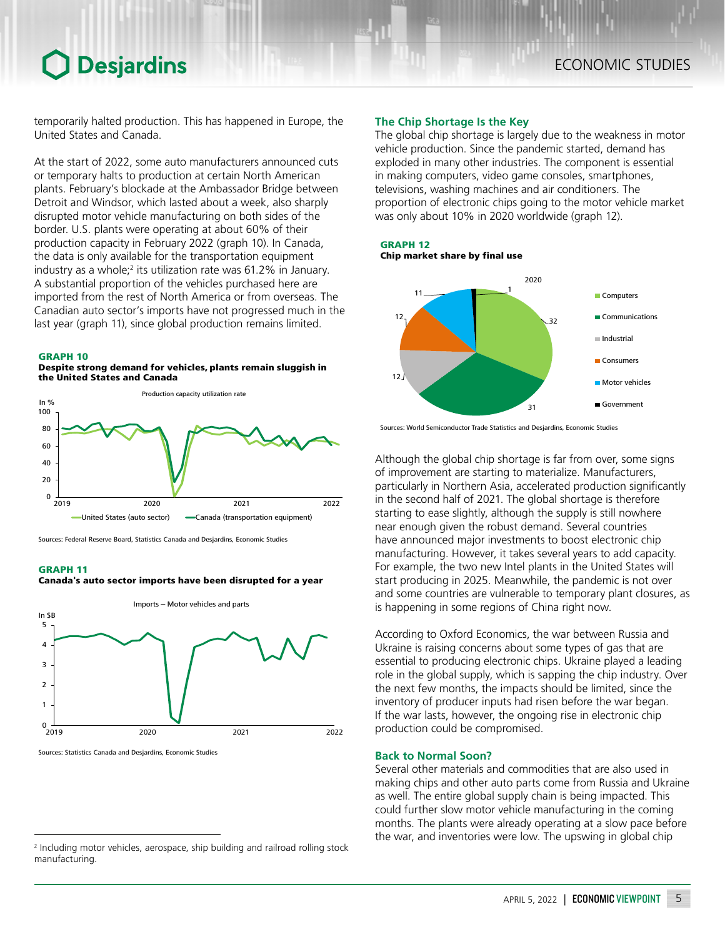## **Desjardins**

temporarily halted production. This has happened in Europe, the United States and Canada.

At the start of 2022, some auto manufacturers announced cuts or temporary halts to production at certain North American plants. February's blockade at the Ambassador Bridge between Detroit and Windsor, which lasted about a week, also sharply disrupted motor vehicle manufacturing on both sides of the border. U.S. plants were operating at about 60% of their production capacity in February 2022 (graph 10). In Canada, the data is only available for the transportation equipment industry as a whole;<sup>2</sup> its utilization rate was 61.2% in January. A substantial proportion of the vehicles purchased here are imported from the rest of North America or from overseas. The Canadian auto sector's imports have not progressed much in the last year (graph 11), since global production remains limited.

#### GRAPH 10





Sources: Federal Reserve Board, Statistics Canada and Desjardins, Economic Studies

#### GRAPH 11



Canada's auto sector imports have been disrupted for a year

Sources: Statistics Canada and Desjardins, Economic Studies

### **The Chip Shortage Is the Key**

The global chip shortage is largely due to the weakness in motor vehicle production. Since the pandemic started, demand has exploded in many other industries. The component is essential in making computers, video game consoles, smartphones, televisions, washing machines and air conditioners. The proportion of electronic chips going to the motor vehicle market was only about 10% in 2020 worldwide (graph 12).

GRAPH 12 Chip market share by final use



Sources: World Semiconductor Trade Statistics and Desjardins, Economic Studies

Although the global chip shortage is far from over, some signs of improvement are starting to materialize. Manufacturers, particularly in Northern Asia, accelerated production significantly in the second half of 2021. The global shortage is therefore starting to ease slightly, although the supply is still nowhere near enough given the robust demand. Several countries have announced major investments to boost electronic chip manufacturing. However, it takes several years to add capacity. For example, the two new Intel plants in the United States will start producing in 2025. Meanwhile, the pandemic is not over and some countries are vulnerable to temporary plant closures, as is happening in some regions of China right now.

According to Oxford Economics, the war between Russia and Ukraine is raising concerns about some types of gas that are essential to producing electronic chips. Ukraine played a leading role in the global supply, which is sapping the chip industry. Over the next few months, the impacts should be limited, since the inventory of producer inputs had risen before the war began. If the war lasts, however, the ongoing rise in electronic chip production could be compromised.

## **Back to Normal Soon?**

Several other materials and commodities that are also used in making chips and other auto parts come from Russia and Ukraine as well. The entire global supply chain is being impacted. This could further slow motor vehicle manufacturing in the coming months. The plants were already operating at a slow pace before the war, and inventories were low. The upswing in global chip

<sup>2</sup> Including motor vehicles, aerospace, ship building and railroad rolling stock manufacturing.